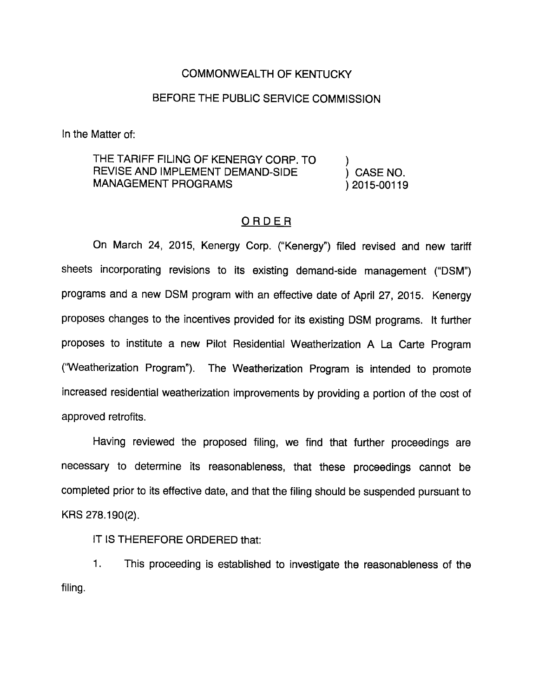## COMMONWEALTH OF KENTUCKY

## BEFORE THE PUBLIC SERVICE COMMISSION

In the Matter of:

## THE TARIFF FILING OF KENERGY CORP. TO ) REVISE AND IMPLEMENT DEMAND-SIDE ) CASE NO. MANAGEMENT PROGRAMS
(2015-00119

## ORDER

On March 24, 2015, Kenergy Corp. ("Kenergy") filed revised and new tariff sheets incorporating revisions to its existing demand-side management ("DSM") programs and a new DSM program with an effective date of April 27, 2015. Kenergy proposes changes to the incentives provided for its existing DSM programs. It further proposes to institute a new Pilot Residential Weatherization A La Carte Program ("Weatherization Program"). The Weatherizatlon Program is Intended to promote increased residential weatherization improvements by providing a portion of the cost of approved retrofits.

Having reviewed the proposed filing, we find that further proceedings are necessary to determine its reasonableness, that these proceedings cannot be completed prior to its effective date, and that the filing should be suspended pursuant to KRS 278.190(2).

IT IS THEREFORE ORDERED that:

1. This proceeding is established to investigate the reasonableness of the filing.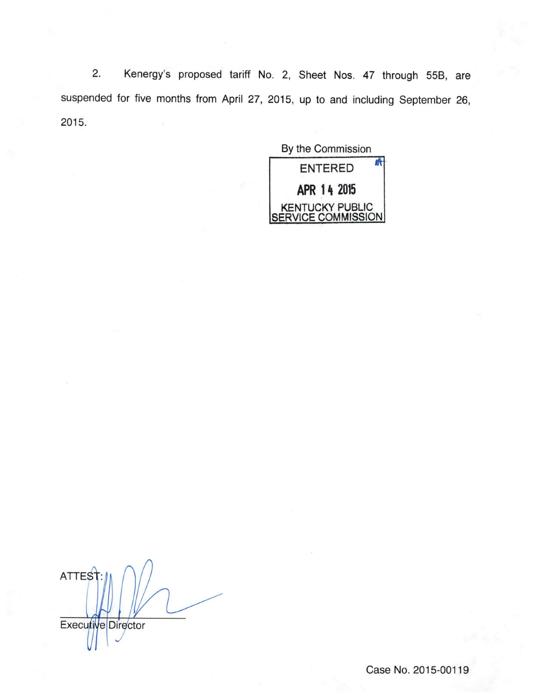2. Kenergy's proposed tariff No. 2, Sheet Nos. 47 through 55B, are suspended for five months from April 27, 2015, up to and including September 26, 2015.

| By the Commission                     |
|---------------------------------------|
| <b>ENTERED</b>                        |
| APR 14 2015                           |
| KENTUCKY PUBLIC<br>SERVICE COMMISSION |
|                                       |

ATTES<sup>1</sup> Executive Director

Case No. 2015-00119